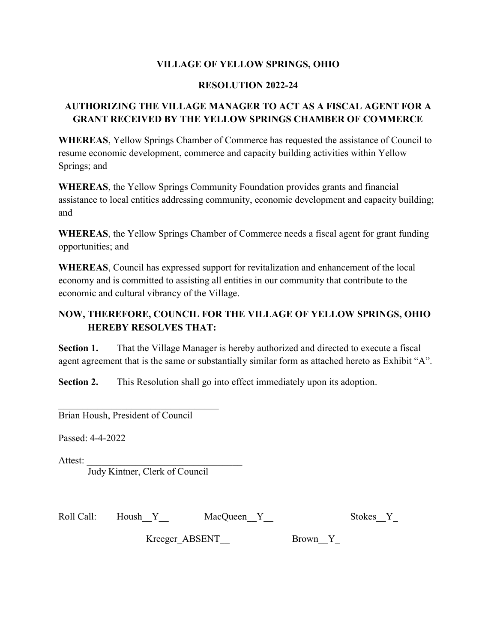## VILLAGE OF YELLOW SPRINGS, OHIO

### RESOLUTION 2022-24

## AUTHORIZING THE VILLAGE MANAGER TO ACT AS A FISCAL AGENT FOR A GRANT RECEIVED BY THE YELLOW SPRINGS CHAMBER OF COMMERCE

WHEREAS, Yellow Springs Chamber of Commerce has requested the assistance of Council to resume economic development, commerce and capacity building activities within Yellow Springs; and

WHEREAS, the Yellow Springs Community Foundation provides grants and financial assistance to local entities addressing community, economic development and capacity building; and

WHEREAS, the Yellow Springs Chamber of Commerce needs a fiscal agent for grant funding opportunities; and

WHEREAS, Council has expressed support for revitalization and enhancement of the local economy and is committed to assisting all entities in our community that contribute to the economic and cultural vibrancy of the Village.

# NOW, THEREFORE, COUNCIL FOR THE VILLAGE OF YELLOW SPRINGS, OHIO HEREBY RESOLVES THAT:

Section 1. That the Village Manager is hereby authorized and directed to execute a fiscal agent agreement that is the same or substantially similar form as attached hereto as Exhibit "A".

Section 2. This Resolution shall go into effect immediately upon its adoption.

Brian Housh, President of Council

 $\mathcal{L}_\text{max}$  and  $\mathcal{L}_\text{max}$  and  $\mathcal{L}_\text{max}$  and  $\mathcal{L}_\text{max}$ 

Passed: 4-4-2022

Attest:

Judy Kintner, Clerk of Council

| <b>Stokes</b> |
|---------------|

Kreeger\_ABSENT\_\_ Brown\_\_Y\_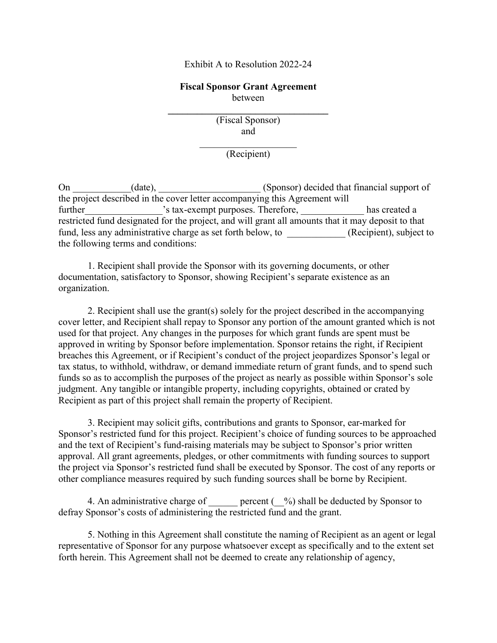#### Exhibit A to Resolution 2022-24

### Fiscal Sponsor Grant Agreement between

(Fiscal Sponsor) and

 $\mathcal{L}_\text{max}$  , where  $\mathcal{L}_\text{max}$  is the set of the set of the set of the set of the set of the set of the set of the set of the set of the set of the set of the set of the set of the set of the set of the set of the se

(Recipient)

On \_\_\_\_\_\_\_\_\_\_(date), \_\_\_\_\_\_\_\_\_\_\_\_\_\_\_\_\_(Sponsor) decided that financial support of the project described in the cover letter accompanying this Agreement will further  $\cdot$  is tax-exempt purposes. Therefore, has created a restricted fund designated for the project, and will grant all amounts that it may deposit to that fund, less any administrative charge as set forth below, to  $(Recipient)$ , subject to the following terms and conditions:

 1. Recipient shall provide the Sponsor with its governing documents, or other documentation, satisfactory to Sponsor, showing Recipient's separate existence as an organization.

 2. Recipient shall use the grant(s) solely for the project described in the accompanying cover letter, and Recipient shall repay to Sponsor any portion of the amount granted which is not used for that project. Any changes in the purposes for which grant funds are spent must be approved in writing by Sponsor before implementation. Sponsor retains the right, if Recipient breaches this Agreement, or if Recipient's conduct of the project jeopardizes Sponsor's legal or tax status, to withhold, withdraw, or demand immediate return of grant funds, and to spend such funds so as to accomplish the purposes of the project as nearly as possible within Sponsor's sole judgment. Any tangible or intangible property, including copyrights, obtained or crated by Recipient as part of this project shall remain the property of Recipient.

 3. Recipient may solicit gifts, contributions and grants to Sponsor, ear-marked for Sponsor's restricted fund for this project. Recipient's choice of funding sources to be approached and the text of Recipient's fund-raising materials may be subject to Sponsor's prior written approval. All grant agreements, pledges, or other commitments with funding sources to support the project via Sponsor's restricted fund shall be executed by Sponsor. The cost of any reports or other compliance measures required by such funding sources shall be borne by Recipient.

4. An administrative charge of  $\qquad$  percent  $\qquad$ %) shall be deducted by Sponsor to defray Sponsor's costs of administering the restricted fund and the grant.

 5. Nothing in this Agreement shall constitute the naming of Recipient as an agent or legal representative of Sponsor for any purpose whatsoever except as specifically and to the extent set forth herein. This Agreement shall not be deemed to create any relationship of agency,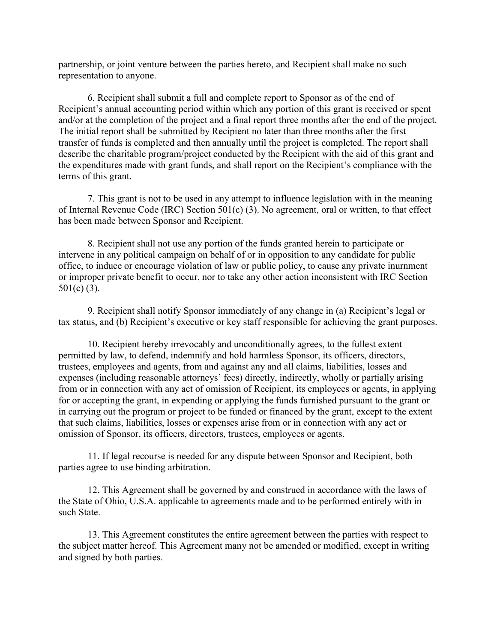partnership, or joint venture between the parties hereto, and Recipient shall make no such representation to anyone.

 6. Recipient shall submit a full and complete report to Sponsor as of the end of Recipient's annual accounting period within which any portion of this grant is received or spent and/or at the completion of the project and a final report three months after the end of the project. The initial report shall be submitted by Recipient no later than three months after the first transfer of funds is completed and then annually until the project is completed. The report shall describe the charitable program/project conducted by the Recipient with the aid of this grant and the expenditures made with grant funds, and shall report on the Recipient's compliance with the terms of this grant.

 7. This grant is not to be used in any attempt to influence legislation with in the meaning of Internal Revenue Code (IRC) Section 501(c) (3). No agreement, oral or written, to that effect has been made between Sponsor and Recipient.

 8. Recipient shall not use any portion of the funds granted herein to participate or intervene in any political campaign on behalf of or in opposition to any candidate for public office, to induce or encourage violation of law or public policy, to cause any private inurnment or improper private benefit to occur, nor to take any other action inconsistent with IRC Section 501(c) (3).

 9. Recipient shall notify Sponsor immediately of any change in (a) Recipient's legal or tax status, and (b) Recipient's executive or key staff responsible for achieving the grant purposes.

 10. Recipient hereby irrevocably and unconditionally agrees, to the fullest extent permitted by law, to defend, indemnify and hold harmless Sponsor, its officers, directors, trustees, employees and agents, from and against any and all claims, liabilities, losses and expenses (including reasonable attorneys' fees) directly, indirectly, wholly or partially arising from or in connection with any act of omission of Recipient, its employees or agents, in applying for or accepting the grant, in expending or applying the funds furnished pursuant to the grant or in carrying out the program or project to be funded or financed by the grant, except to the extent that such claims, liabilities, losses or expenses arise from or in connection with any act or omission of Sponsor, its officers, directors, trustees, employees or agents.

 11. If legal recourse is needed for any dispute between Sponsor and Recipient, both parties agree to use binding arbitration.

 12. This Agreement shall be governed by and construed in accordance with the laws of the State of Ohio, U.S.A. applicable to agreements made and to be performed entirely with in such State.

 13. This Agreement constitutes the entire agreement between the parties with respect to the subject matter hereof. This Agreement many not be amended or modified, except in writing and signed by both parties.